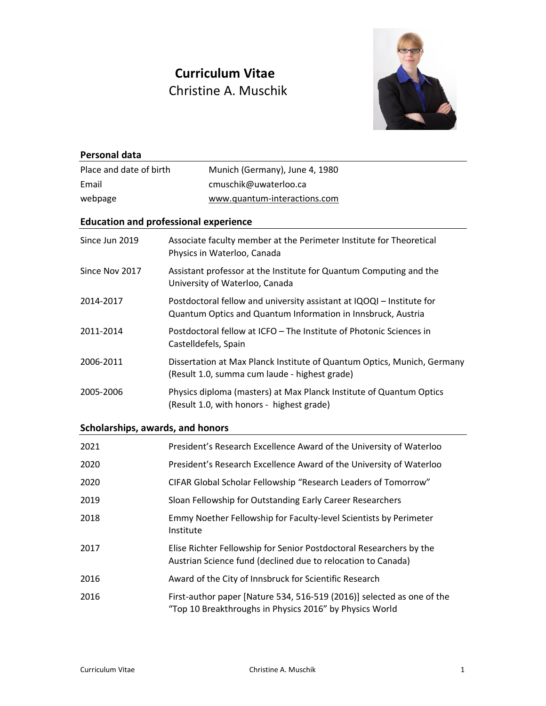# **Curriculum Vitae** Christine A. Muschik



| <b>Personal data</b>             |                                                                                                                                       |
|----------------------------------|---------------------------------------------------------------------------------------------------------------------------------------|
| Place and date of birth          | Munich (Germany), June 4, 1980                                                                                                        |
| Email                            | cmuschik@uwaterloo.ca                                                                                                                 |
| webpage                          | www.quantum-interactions.com                                                                                                          |
|                                  | <b>Education and professional experience</b>                                                                                          |
| Since Jun 2019                   | Associate faculty member at the Perimeter Institute for Theoretical<br>Physics in Waterloo, Canada                                    |
| Since Nov 2017                   | Assistant professor at the Institute for Quantum Computing and the<br>University of Waterloo, Canada                                  |
| 2014-2017                        | Postdoctoral fellow and university assistant at IQOQI - Institute for<br>Quantum Optics and Quantum Information in Innsbruck, Austria |
| 2011-2014                        | Postdoctoral fellow at ICFO - The Institute of Photonic Sciences in<br>Castelldefels, Spain                                           |
| 2006-2011                        | Dissertation at Max Planck Institute of Quantum Optics, Munich, Germany<br>(Result 1.0, summa cum laude - highest grade)              |
| 2005-2006                        | Physics diploma (masters) at Max Planck Institute of Quantum Optics<br>(Result 1.0, with honors - highest grade)                      |
| Scholarships, awards, and honors |                                                                                                                                       |
| 2021                             | President's Research Excellence Award of the University of Waterloo                                                                   |
| 2020                             | President's Research Excellence Award of the University of Waterloo                                                                   |
| 2020                             | CIFAR Global Scholar Fellowship "Research Leaders of Tomorrow"                                                                        |
| 2019                             | Sloan Fellowship for Outstanding Early Career Researchers                                                                             |
| 2018                             | Emmy Noether Fellowship for Faculty-level Scientists by Perimeter<br>Institute                                                        |
| 2017                             | Elise Richter Fellowship for Senior Postdoctoral Researchers by the<br>Austrian Science fund (declined due to relocation to Canada)   |
| 2016                             | Award of the City of Innsbruck for Scientific Research                                                                                |
| 2016                             | First-author paper [Nature 534, 516-519 (2016)] selected as one of the<br>"Top 10 Breakthroughs in Physics 2016" by Physics World     |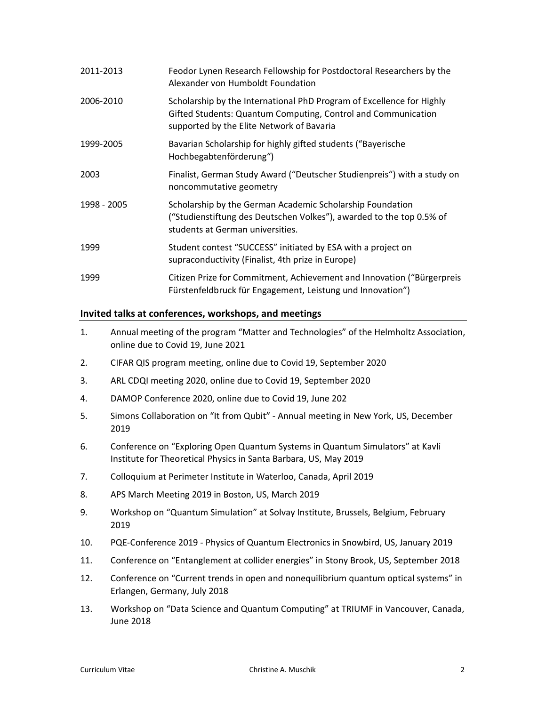| 2011-2013   | Feodor Lynen Research Fellowship for Postdoctoral Researchers by the<br>Alexander von Humboldt Foundation                                                                           |
|-------------|-------------------------------------------------------------------------------------------------------------------------------------------------------------------------------------|
| 2006-2010   | Scholarship by the International PhD Program of Excellence for Highly<br>Gifted Students: Quantum Computing, Control and Communication<br>supported by the Elite Network of Bavaria |
| 1999-2005   | Bavarian Scholarship for highly gifted students ("Bayerische<br>Hochbegabtenförderung")                                                                                             |
| 2003        | Finalist, German Study Award ("Deutscher Studienpreis") with a study on<br>noncommutative geometry                                                                                  |
| 1998 - 2005 | Scholarship by the German Academic Scholarship Foundation<br>("Studienstiftung des Deutschen Volkes"), awarded to the top 0.5% of<br>students at German universities.               |
| 1999        | Student contest "SUCCESS" initiated by ESA with a project on<br>supraconductivity (Finalist, 4th prize in Europe)                                                                   |
| 1999        | Citizen Prize for Commitment, Achievement and Innovation ("Bürgerpreis<br>Fürstenfeldbruck für Engagement, Leistung und Innovation")                                                |

#### **Invited talks at conferences, workshops, and meetings**

- 1. Annual meeting of the program "Matter and Technologies" of the Helmholtz Association, online due to Covid 19, June 2021
- 2. CIFAR QIS program meeting, online due to Covid 19, September 2020
- 3. ARL CDQI meeting 2020, online due to Covid 19, September 2020
- 4. DAMOP Conference 2020, online due to Covid 19, June 202
- 5. Simons Collaboration on "It from Qubit" Annual meeting in New York, US, December 2019
- 6. Conference on "Exploring Open Quantum Systems in Quantum Simulators" at Kavli Institute for Theoretical Physics in Santa Barbara, US, May 2019
- 7. Colloquium at Perimeter Institute in Waterloo, Canada, April 2019
- 8. APS March Meeting 2019 in Boston, US, March 2019
- 9. Workshop on "Quantum Simulation" at Solvay Institute, Brussels, Belgium, February 2019
- 10. PQE-Conference 2019 Physics of Quantum Electronics in Snowbird, US, January 2019
- 11. Conference on "Entanglement at collider energies" in Stony Brook, US, September 2018
- 12. Conference on "Current trends in open and nonequilibrium quantum optical systems" in Erlangen, Germany, July 2018
- 13. Workshop on "Data Science and Quantum Computing" at TRIUMF in Vancouver, Canada, June 2018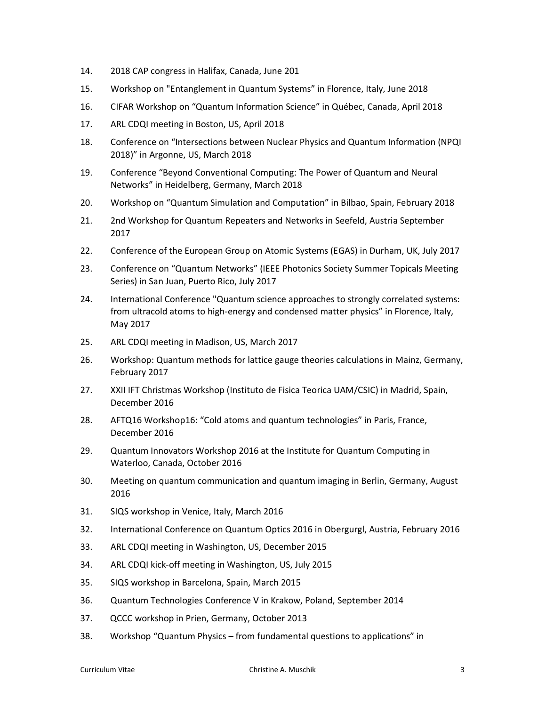- 14. 2018 CAP congress in Halifax, Canada, June 201
- 15. Workshop on "Entanglement in Quantum Systems" in Florence, Italy, June 2018
- 16. CIFAR Workshop on "Quantum Information Science" in Québec, Canada, April 2018
- 17. ARL CDQI meeting in Boston, US, April 2018
- 18. Conference on "Intersections between Nuclear Physics and Quantum Information (NPQI 2018)" in Argonne, US, March 2018
- 19. Conference "Beyond Conventional Computing: The Power of Quantum and Neural Networks" in Heidelberg, Germany, March 2018
- 20. Workshop on "Quantum Simulation and Computation" in Bilbao, Spain, February 2018
- 21. 2nd Workshop for Quantum Repeaters and Networks in Seefeld, Austria September 2017
- 22. Conference of the European Group on Atomic Systems (EGAS) in Durham, UK, July 2017
- 23. Conference on "Quantum Networks" (IEEE Photonics Society Summer Topicals Meeting Series) in San Juan, Puerto Rico, July 2017
- 24. International Conference "Quantum science approaches to strongly correlated systems: from ultracold atoms to high-energy and condensed matter physics" in Florence, Italy, May 2017
- 25. ARL CDQI meeting in Madison, US, March 2017
- 26. Workshop: Quantum methods for lattice gauge theories calculations in Mainz, Germany, February 2017
- 27. XXII IFT Christmas Workshop (Instituto de Fisica Teorica UAM/CSIC) in Madrid, Spain, December 2016
- 28. AFTQ16 Workshop16: "Cold atoms and quantum technologies" in Paris, France, December 2016
- 29. Quantum Innovators Workshop 2016 at the Institute for Quantum Computing in Waterloo, Canada, October 2016
- 30. Meeting on quantum communication and quantum imaging in Berlin, Germany, August 2016
- 31. SIQS workshop in Venice, Italy, March 2016
- 32. International Conference on Quantum Optics 2016 in Obergurgl, Austria, February 2016
- 33. ARL CDQI meeting in Washington, US, December 2015
- 34. ARL CDQI kick-off meeting in Washington, US, July 2015
- 35. SIQS workshop in Barcelona, Spain, March 2015
- 36. Quantum Technologies Conference V in Krakow, Poland, September 2014
- 37. QCCC workshop in Prien, Germany, October 2013
- 38. Workshop "Quantum Physics from fundamental questions to applications" in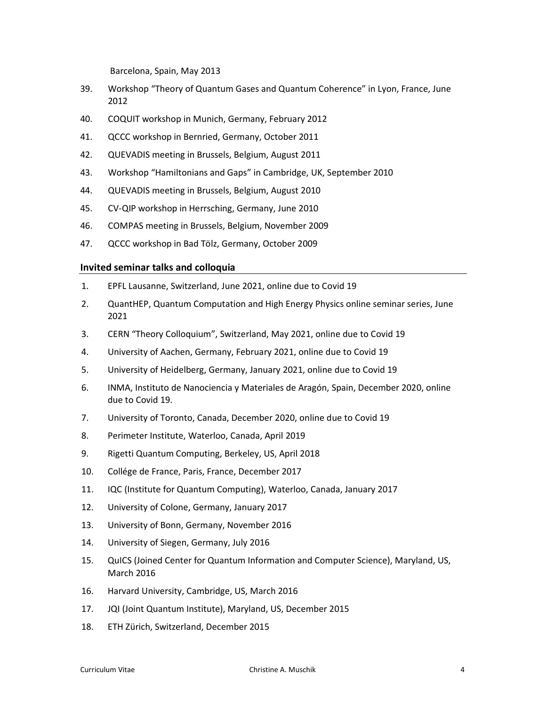Barcelona, Spain, May 2013

- 39. Workshop "Theory of Quantum Gases and Quantum Coherence" in Lyon, France, June 2012
- 40. COQUIT workshop in Munich, Germany, February 2012
- 41. QCCC workshop in Bernried, Germany, October 2011
- 42. QUEVADIS meeting in Brussels, Belgium, August 2011
- 43. Workshop "Hamiltonians and Gaps" in Cambridge, UK, September 2010
- 44. QUEVADIS meeting in Brussels, Belgium, August 2010
- 45. CV-QIP workshop in Herrsching, Germany, June 2010
- 46. COMPAS meeting in Brussels, Belgium, November 2009
- 47. QCCC workshop in Bad Tölz, Germany, October 2009

#### **Invited seminar talks and colloquia**

- 1. EPFL Lausanne, Switzerland, June 2021, online due to Covid 19
- 2. QuantHEP, Quantum Computation and High Energy Physics online seminar series, June 2021
- 3. CERN "Theory Colloquium", Switzerland, May 2021, online due to Covid 19
- 4. University of Aachen, Germany, February 2021, online due to Covid 19
- 5. University of Heidelberg, Germany, January 2021, online due to Covid 19
- 6. INMA, Instituto de Nanociencia y Materiales de Aragón, Spain, December 2020, online due to Covid 19.
- 7. University of Toronto, Canada, December 2020, online due to Covid 19
- 8. Perimeter Institute, Waterloo, Canada, April 2019
- 9. Rigetti Quantum Computing, Berkeley, US, April 2018
- 10. Collége de France, Paris, France, December 2017
- 11. IQC (Institute for Quantum Computing), Waterloo, Canada, January 2017
- 12. University of Colone, Germany, January 2017
- 13. University of Bonn, Germany, November 2016
- 14. University of Siegen, Germany, July 2016
- 15. QuICS (Joined Center for Quantum Information and Computer Science), Maryland, US, March 2016
- 16. Harvard University, Cambridge, US, March 2016
- 17. JQI (Joint Quantum Institute), Maryland, US, December 2015
- 18. ETH Zürich, Switzerland, December 2015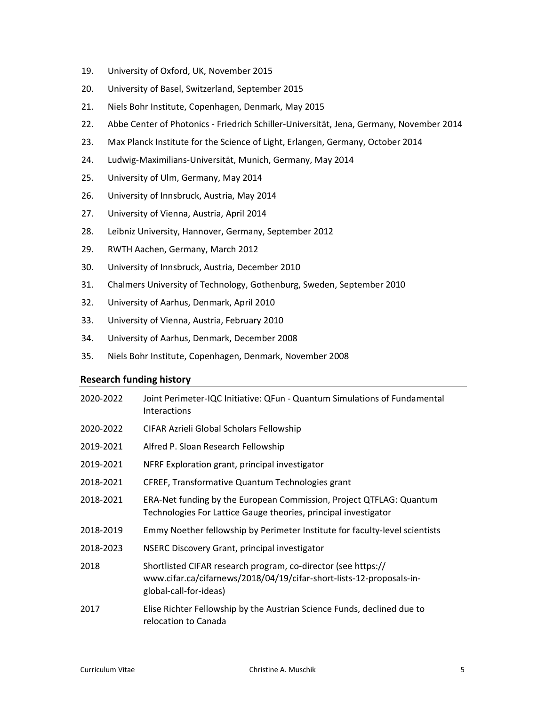- 19. University of Oxford, UK, November 2015
- 20. University of Basel, Switzerland, September 2015
- 21. Niels Bohr Institute, Copenhagen, Denmark, May 2015
- 22. Abbe Center of Photonics Friedrich Schiller-Universität, Jena, Germany, November 2014
- 23. Max Planck Institute for the Science of Light, Erlangen, Germany, October 2014
- 24. Ludwig-Maximilians-Universität, Munich, Germany, May 2014
- 25. University of Ulm, Germany, May 2014
- 26. University of Innsbruck, Austria, May 2014
- 27. University of Vienna, Austria, April 2014
- 28. Leibniz University, Hannover, Germany, September 2012
- 29. RWTH Aachen, Germany, March 2012
- 30. University of Innsbruck, Austria, December 2010
- 31. Chalmers University of Technology, Gothenburg, Sweden, September 2010
- 32. University of Aarhus, Denmark, April 2010
- 33. University of Vienna, Austria, February 2010
- 34. University of Aarhus, Denmark, December 2008
- 35. Niels Bohr Institute, Copenhagen, Denmark, November 2008

#### **Research funding history**

| 2020-2022 | Joint Perimeter-IQC Initiative: QFun - Quantum Simulations of Fundamental<br><b>Interactions</b>                                                                |
|-----------|-----------------------------------------------------------------------------------------------------------------------------------------------------------------|
| 2020-2022 | CIFAR Azrieli Global Scholars Fellowship                                                                                                                        |
| 2019-2021 | Alfred P. Sloan Research Fellowship                                                                                                                             |
| 2019-2021 | NFRF Exploration grant, principal investigator                                                                                                                  |
| 2018-2021 | CFREF, Transformative Quantum Technologies grant                                                                                                                |
| 2018-2021 | ERA-Net funding by the European Commission, Project QTFLAG: Quantum<br>Technologies For Lattice Gauge theories, principal investigator                          |
| 2018-2019 | Emmy Noether fellowship by Perimeter Institute for faculty-level scientists                                                                                     |
| 2018-2023 | NSERC Discovery Grant, principal investigator                                                                                                                   |
| 2018      | Shortlisted CIFAR research program, co-director (see https://<br>www.cifar.ca/cifarnews/2018/04/19/cifar-short-lists-12-proposals-in-<br>global-call-for-ideas) |
| 2017      | Elise Richter Fellowship by the Austrian Science Funds, declined due to<br>relocation to Canada                                                                 |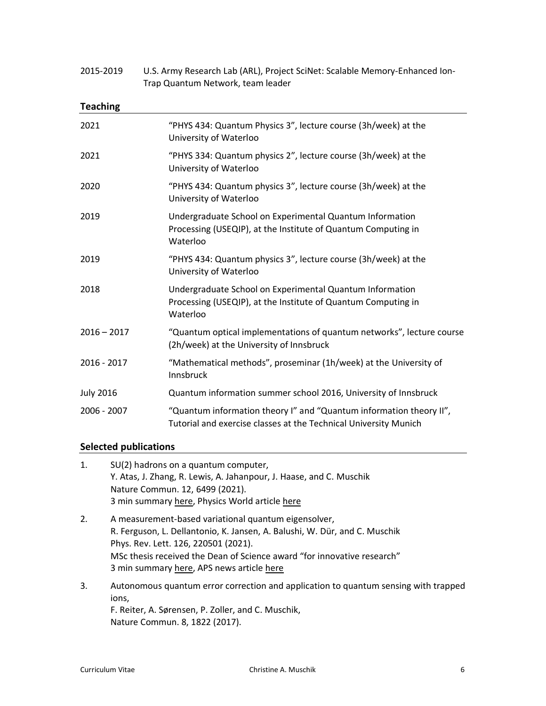| Trap Quantum Network, team leader |                                                                                                                                         |  |
|-----------------------------------|-----------------------------------------------------------------------------------------------------------------------------------------|--|
| <b>Teaching</b>                   |                                                                                                                                         |  |
| 2021                              | "PHYS 434: Quantum Physics 3", lecture course (3h/week) at the<br>University of Waterloo                                                |  |
| 2021                              | "PHYS 334: Quantum physics 2", lecture course (3h/week) at the<br>University of Waterloo                                                |  |
| 2020                              | "PHYS 434: Quantum physics 3", lecture course (3h/week) at the<br>University of Waterloo                                                |  |
| 2019                              | Undergraduate School on Experimental Quantum Information<br>Processing (USEQIP), at the Institute of Quantum Computing in<br>Waterloo   |  |
| 2019                              | "PHYS 434: Quantum physics 3", lecture course (3h/week) at the<br>University of Waterloo                                                |  |
| 2018                              | Undergraduate School on Experimental Quantum Information<br>Processing (USEQIP), at the Institute of Quantum Computing in<br>Waterloo   |  |
| $2016 - 2017$                     | "Quantum optical implementations of quantum networks", lecture course<br>(2h/week) at the University of Innsbruck                       |  |
| 2016 - 2017                       | "Mathematical methods", proseminar (1h/week) at the University of<br>Innsbruck                                                          |  |
| <b>July 2016</b>                  | Quantum information summer school 2016, University of Innsbruck                                                                         |  |
| 2006 - 2007                       | "Quantum information theory I" and "Quantum information theory II",<br>Tutorial and exercise classes at the Technical University Munich |  |

2015-2019 U.S. Army Research Lab (ARL), Project SciNet: Scalable Memory-Enhanced Ion-

## **Selected publications**

| 1. | SU(2) hadrons on a quantum computer,                                                |
|----|-------------------------------------------------------------------------------------|
|    | Y. Atas, J. Zhang, R. Lewis, A. Jahanpour, J. Haase, and C. Muschik                 |
|    | Nature Commun. 12, 6499 (2021).                                                     |
|    | 3 min summary here, Physics World article here                                      |
| 2. | A measurement-based variational quantum eigensolver,                                |
|    | R. Ferguson, L. Dellantonio, K. Jansen, A. Balushi, W. Dür, and C. Muschik          |
|    | Phys. Rev. Lett. 126, 220501 (2021).                                                |
|    | MSc thesis received the Dean of Science award "for innovative research"             |
|    | 3 min summary here, APS news article here                                           |
| 3. | Autonomous quantum error correction and application to quantum sensing with trapped |
|    | ions,                                                                               |
|    | E Poiter A Seronson D Zoller and C Muschik                                          |

F. Reiter, A. Sørensen, P. Zoller, and C. Muschik, Nature Commun. 8, 1822 (2017).